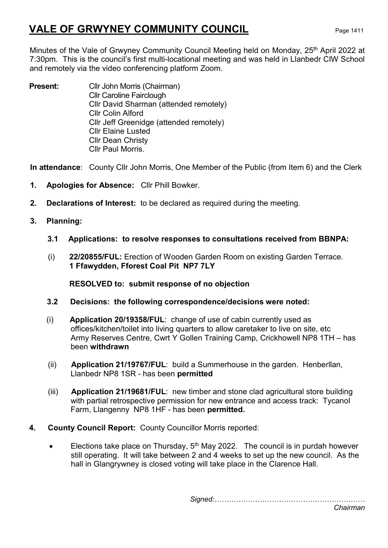# VALE OF GRWYNEY COMMUNITY COUNCIL Page 1411

Minutes of the Vale of Grwyney Community Council Meeting held on Monday, 25<sup>th</sup> April 2022 at 7:30pm. This is the council's first multi-locational meeting and was held in Llanbedr CIW School and remotely via the video conferencing platform Zoom.

**Present:** Cllr John Morris (Chairman) Cllr Caroline Fairclough Cllr David Sharman (attended remotely) Cllr Colin Alford Cllr Jeff Greenidge (attended remotely) Cllr Elaine Lusted Cllr Dean Christy Cllr Paul Morris.

In attendance: County Cllr John Morris, One Member of the Public (from Item 6) and the Clerk

- 1. Apologies for Absence: Cllr Phill Bowker.
- 2. Declarations of Interest: to be declared as required during the meeting.
- 3. Planning:
	- 3.1 Applications: to resolve responses to consultations received from BBNPA:
	- (i) 22/20855/FUL: Erection of Wooden Garden Room on existing Garden Terrace. 1 Ffawydden, Fforest Coal Pit NP7 7LY

RESOLVED to: submit response of no objection

- 3.2 Decisions: the following correspondence/decisions were noted:
- (i) Application 20/19358/FUL: change of use of cabin currently used as offices/kitchen/toilet into living quarters to allow caretaker to live on site, etc Army Reserves Centre, Cwrt Y Gollen Training Camp, Crickhowell NP8 1TH – has been withdrawn
- (ii) Application 21/19767/FUL: build a Summerhouse in the garden. Henberllan, Llanbedr NP8 1SR - has been permitted
- (iii) Application 21/19681/FUL: new timber and stone clad agricultural store building with partial retrospective permission for new entrance and access track: Tycanol Farm, Llangenny NP8 1HF - has been permitted.
- 4. County Council Report: County Councillor Morris reported:
	- Elections take place on Thursday,  $5<sup>th</sup>$  May 2022. The council is in purdah however still operating. It will take between 2 and 4 weeks to set up the new council. As the hall in Glangrywney is closed voting will take place in the Clarence Hall.

Signed:………………………………………………………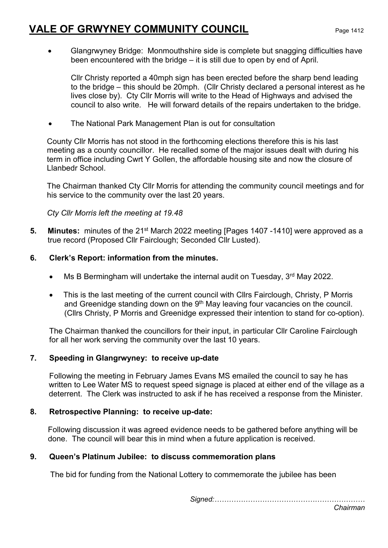## VALE OF GRWYNEY COMMUNITY COUNCIL Page 1412

 Glangrwyney Bridge: Monmouthshire side is complete but snagging difficulties have been encountered with the bridge – it is still due to open by end of April.

Cllr Christy reported a 40mph sign has been erected before the sharp bend leading to the bridge – this should be 20mph. (Cllr Christy declared a personal interest as he lives close by). Cty Cllr Morris will write to the Head of Highways and advised the council to also write. He will forward details of the repairs undertaken to the bridge.

• The National Park Management Plan is out for consultation

County Cllr Morris has not stood in the forthcoming elections therefore this is his last meeting as a county councillor. He recalled some of the major issues dealt with during his term in office including Cwrt Y Gollen, the affordable housing site and now the closure of Llanbedr School.

The Chairman thanked Cty Cllr Morris for attending the community council meetings and for his service to the community over the last 20 years.

Cty Cllr Morris left the meeting at 19.48

- 5. Minutes: minutes of the 21<sup>st</sup> March 2022 meeting [Pages 1407 -1410] were approved as a true record (Proposed Cllr Fairclough; Seconded Cllr Lusted).
- 6. Clerk's Report: information from the minutes.
	- $\bullet$  Ms B Bermingham will undertake the internal audit on Tuesday,  $3<sup>rd</sup>$  May 2022.
	- This is the last meeting of the current council with Cllrs Fairclough, Christy, P Morris and Greenidge standing down on the 9<sup>th</sup> May leaving four vacancies on the council. (Cllrs Christy, P Morris and Greenidge expressed their intention to stand for co-option).

The Chairman thanked the councillors for their input, in particular Cllr Caroline Fairclough for all her work serving the community over the last 10 years.

### 7. Speeding in Glangrwyney: to receive up-date

Following the meeting in February James Evans MS emailed the council to say he has written to Lee Water MS to request speed signage is placed at either end of the village as a deterrent. The Clerk was instructed to ask if he has received a response from the Minister.

### 8. Retrospective Planning: to receive up-date:

 Following discussion it was agreed evidence needs to be gathered before anything will be done. The council will bear this in mind when a future application is received.

#### 9. Queen's Platinum Jubilee: to discuss commemoration plans

The bid for funding from the National Lottery to commemorate the jubilee has been

Signed:………………………………………………………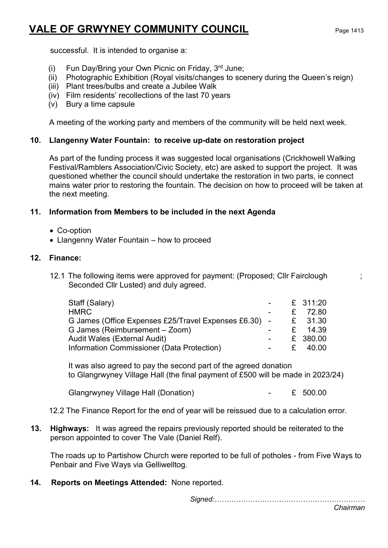## VALE OF GRWYNEY COMMUNITY COUNCIL Page 1413

successful. It is intended to organise a:

- (i) Fun Day/Bring your Own Picnic on Friday,  $3<sup>rd</sup>$  June;
- (ii) Photographic Exhibition (Royal visits/changes to scenery during the Queen's reign)
- (iii) Plant trees/bulbs and create a Jubilee Walk
- (iv) Film residents' recollections of the last 70 years
- (v) Bury a time capsule

A meeting of the working party and members of the community will be held next week.

## 10. Llangenny Water Fountain: to receive up-date on restoration project

As part of the funding process it was suggested local organisations (Crickhowell Walking Festival/Ramblers Association/Civic Society, etc) are asked to support the project. It was questioned whether the council should undertake the restoration in two parts, ie connect mains water prior to restoring the fountain. The decision on how to proceed will be taken at the next meeting.

## 11. Information from Members to be included in the next Agenda

- Co-option
- Llangenny Water Fountain how to proceed

## 12. Finance:

12.1 The following items were approved for payment: (Proposed; Cllr Fairclough ; Seconded Cllr Lusted) and duly agreed.

| Staff (Salary)                                        |    | £ 311:20 |
|-------------------------------------------------------|----|----------|
| <b>HMRC</b>                                           |    | £ 72.80  |
| G James (Office Expenses £25/Travel Expenses £6.30) - |    | £ 31.30  |
| G James (Reimbursement – Zoom)                        |    | £ 14.39  |
| Audit Wales (External Audit)                          |    | £ 380.00 |
| Information Commissioner (Data Protection)            | £. | 40.00    |

It was also agreed to pay the second part of the agreed donation to Glangrwyney Village Hall (the final payment of £500 will be made in 2023/24)

Glangrwyney Village Hall (Donation) - £ 500.00

12.2 The Finance Report for the end of year will be reissued due to a calculation error.

13. Highways: It was agreed the repairs previously reported should be reiterated to the person appointed to cover The Vale (Daniel Relf).

The roads up to Partishow Church were reported to be full of potholes - from Five Ways to Penbair and Five Ways via Gelliwelltog.

14. Reports on Meetings Attended: None reported.

Signed:………………………………………………………